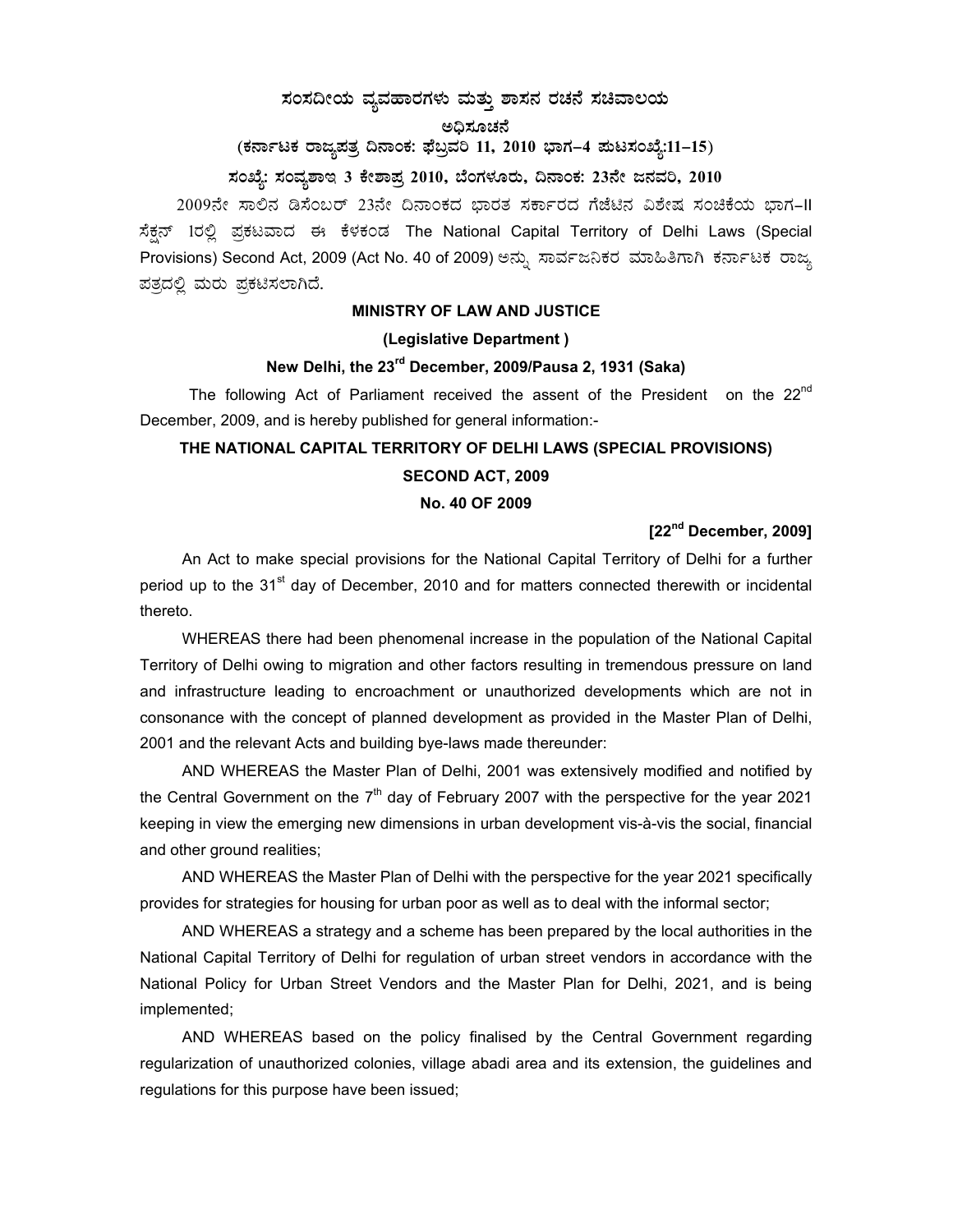### $\,$ ಸಂಸದೀಯ ವ್ಯವಹಾರಗಳು ಮತ್ತು ಶಾಸನ ರಚನೆ ಸಚಿವಾಲಯ

#### ಅಧಿಸೂಚನೆ

(ಕರ್ನಾಟಕ ರಾಜ್ಯಪತ್ರ ದಿನಾಂಕ: ಫೆಬ್ರವರಿ 11, 2010 ಭಾಗ–4 **ಮಟಸಂಖ್ಯೆ:11–15**)

### ಸಂಖ್ಯೆ: ಸಂವ್ನಶಾಇ 3 ಕೇಶಾಪ್ರ 2010, ಬೆಂಗಳೂರು, ದಿನಾಂಕ: 23ನೇ ಜನವರಿ, 2010

2009ನೇ ಸಾಲಿನ ಡಿಸೆಂಬರ್ 23ನೇ ದಿನಾಂಕದ ಭಾರತ ಸರ್ಕಾರದ ಗೆಜೆಟಿನ ವಿಶೇಷ ಸಂಚಿಕೆಯ ಭಾಗ-II ಸೆಕ್ಷನ್ 1ರಲ್ಲಿ ಪ್ರಕಟವಾದ ಈ ಕೆಳಕಂಡ The National Capital Territory of Delhi Laws (Special Provisions) Second Act, 2009 (Act No. 40 of 2009) ಅನ್ಸು ಸಾರ್ವಜನಿಕರ ಮಾಹಿತಿಗಾಗಿ ಕರ್ನಾಟಕ ರಾಜ್ಯ ಪತ್ರದಲ್ಲಿ ಮರು ಪ್ರಕಟಿಸಲಾಗಿದೆ.

# **MINISTRY OF LAW AND JUSTICE**

### **(Legislative Department )**

#### **New Delhi, the 23rd December, 2009/Pausa 2, 1931 (Saka)**

The following Act of Parliament received the assent of the President on the  $22^{nd}$ December, 2009, and is hereby published for general information:-

## **THE NATIONAL CAPITAL TERRITORY OF DELHI LAWS (SPECIAL PROVISIONS) SECOND ACT, 2009 No. 40 OF 2009**

#### **[22nd December, 2009]**

 An Act to make special provisions for the National Capital Territory of Delhi for a further period up to the  $31<sup>st</sup>$  day of December, 2010 and for matters connected therewith or incidental thereto.

 WHEREAS there had been phenomenal increase in the population of the National Capital Territory of Delhi owing to migration and other factors resulting in tremendous pressure on land and infrastructure leading to encroachment or unauthorized developments which are not in consonance with the concept of planned development as provided in the Master Plan of Delhi, 2001 and the relevant Acts and building bye-laws made thereunder:

 AND WHEREAS the Master Plan of Delhi, 2001 was extensively modified and notified by the Central Government on the  $7<sup>th</sup>$  day of February 2007 with the perspective for the year 2021 keeping in view the emerging new dimensions in urban development vis-à-vis the social, financial and other ground realities;

 AND WHEREAS the Master Plan of Delhi with the perspective for the year 2021 specifically provides for strategies for housing for urban poor as well as to deal with the informal sector;

 AND WHEREAS a strategy and a scheme has been prepared by the local authorities in the National Capital Territory of Delhi for regulation of urban street vendors in accordance with the National Policy for Urban Street Vendors and the Master Plan for Delhi, 2021, and is being implemented;

 AND WHEREAS based on the policy finalised by the Central Government regarding regularization of unauthorized colonies, village abadi area and its extension, the guidelines and regulations for this purpose have been issued;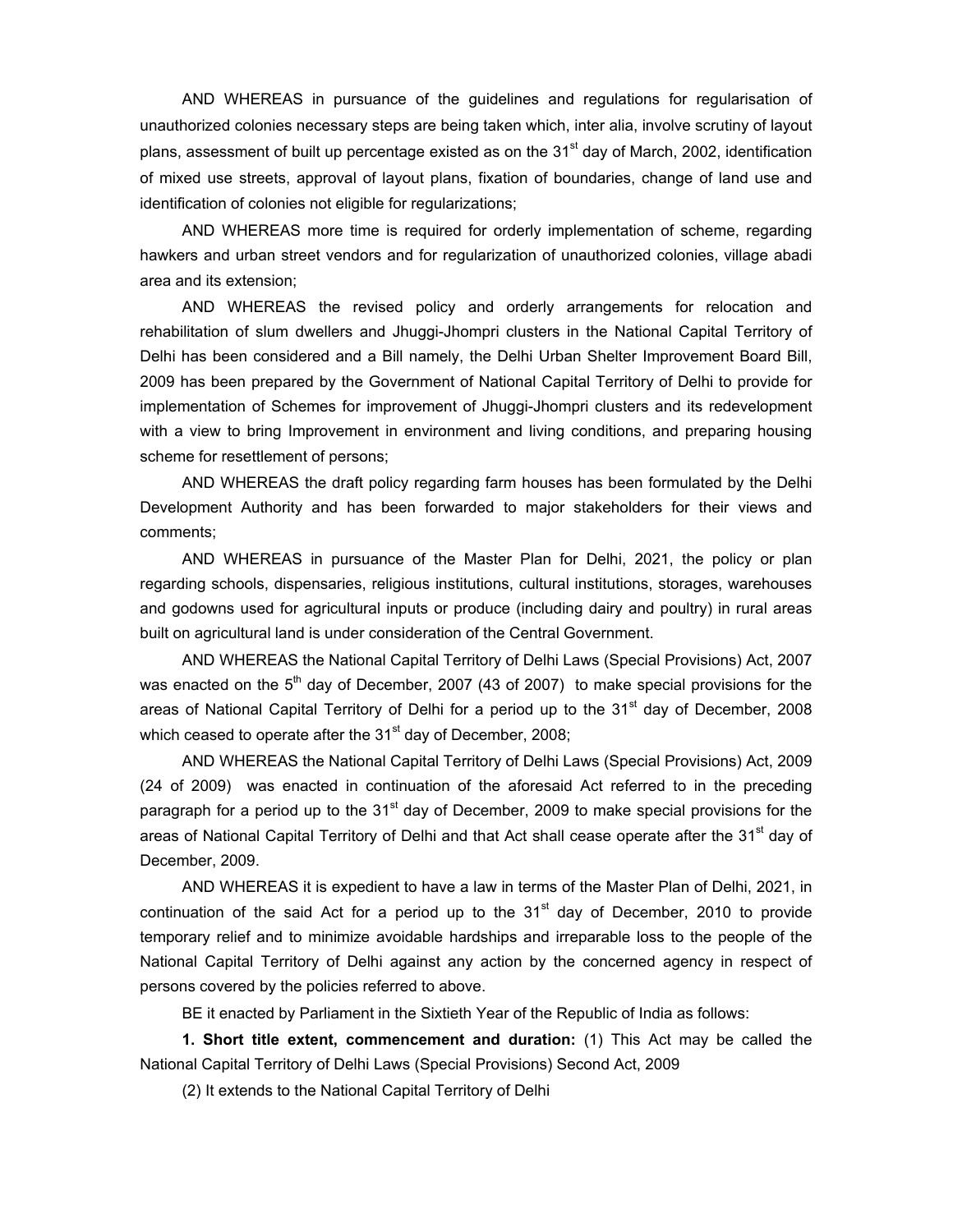AND WHEREAS in pursuance of the guidelines and regulations for regularisation of unauthorized colonies necessary steps are being taken which, inter alia, involve scrutiny of layout plans, assessment of built up percentage existed as on the  $31<sup>st</sup>$  day of March, 2002, identification of mixed use streets, approval of layout plans, fixation of boundaries, change of land use and identification of colonies not eligible for regularizations;

 AND WHEREAS more time is required for orderly implementation of scheme, regarding hawkers and urban street vendors and for regularization of unauthorized colonies, village abadi area and its extension;

 AND WHEREAS the revised policy and orderly arrangements for relocation and rehabilitation of slum dwellers and Jhuggi-Jhompri clusters in the National Capital Territory of Delhi has been considered and a Bill namely, the Delhi Urban Shelter Improvement Board Bill, 2009 has been prepared by the Government of National Capital Territory of Delhi to provide for implementation of Schemes for improvement of Jhuggi-Jhompri clusters and its redevelopment with a view to bring Improvement in environment and living conditions, and preparing housing scheme for resettlement of persons;

 AND WHEREAS the draft policy regarding farm houses has been formulated by the Delhi Development Authority and has been forwarded to major stakeholders for their views and comments;

 AND WHEREAS in pursuance of the Master Plan for Delhi, 2021, the policy or plan regarding schools, dispensaries, religious institutions, cultural institutions, storages, warehouses and godowns used for agricultural inputs or produce (including dairy and poultry) in rural areas built on agricultural land is under consideration of the Central Government.

 AND WHEREAS the National Capital Territory of Delhi Laws (Special Provisions) Act, 2007 was enacted on the  $5<sup>th</sup>$  day of December, 2007 (43 of 2007) to make special provisions for the areas of National Capital Territory of Delhi for a period up to the  $31<sup>st</sup>$  day of December, 2008 which ceased to operate after the 31 $\mathrm{^{st}}$  day of December, 2008;

 AND WHEREAS the National Capital Territory of Delhi Laws (Special Provisions) Act, 2009 (24 of 2009) was enacted in continuation of the aforesaid Act referred to in the preceding paragraph for a period up to the  $31<sup>st</sup>$  day of December, 2009 to make special provisions for the areas of National Capital Territory of Delhi and that Act shall cease operate after the 31<sup>st</sup> day of December, 2009.

 AND WHEREAS it is expedient to have a law in terms of the Master Plan of Delhi, 2021, in continuation of the said Act for a period up to the  $31<sup>st</sup>$  day of December, 2010 to provide temporary relief and to minimize avoidable hardships and irreparable loss to the people of the National Capital Territory of Delhi against any action by the concerned agency in respect of persons covered by the policies referred to above.

BE it enacted by Parliament in the Sixtieth Year of the Republic of India as follows:

**1. Short title extent, commencement and duration:** (1) This Act may be called the National Capital Territory of Delhi Laws (Special Provisions) Second Act, 2009

(2) It extends to the National Capital Territory of Delhi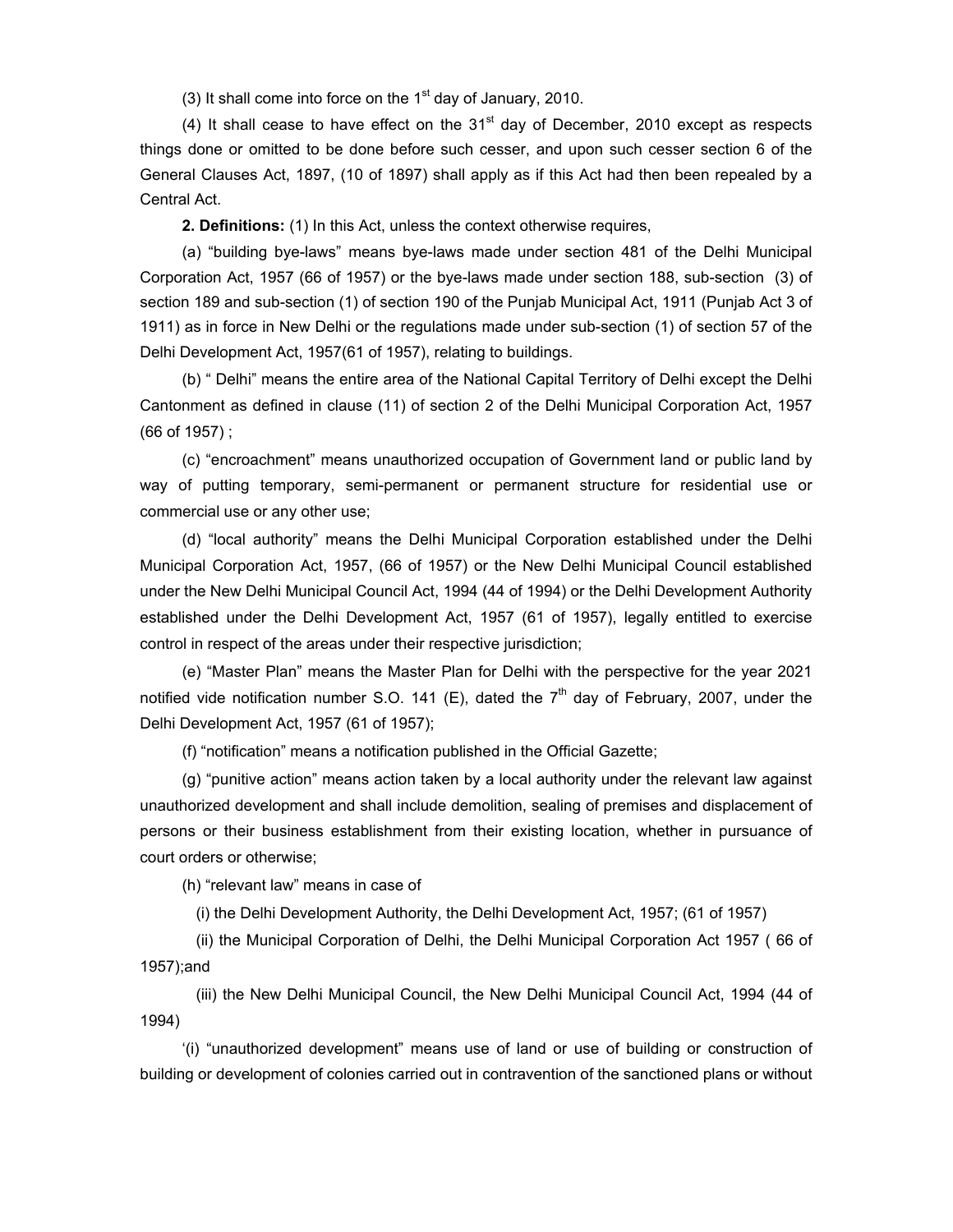(3) It shall come into force on the  $1<sup>st</sup>$  day of January, 2010.

(4) It shall cease to have effect on the  $31<sup>st</sup>$  day of December, 2010 except as respects things done or omitted to be done before such cesser, and upon such cesser section 6 of the General Clauses Act, 1897, (10 of 1897) shall apply as if this Act had then been repealed by a Central Act.

**2. Definitions:** (1) In this Act, unless the context otherwise requires,

 (a) "building bye-laws" means bye-laws made under section 481 of the Delhi Municipal Corporation Act, 1957 (66 of 1957) or the bye-laws made under section 188, sub-section (3) of section 189 and sub-section (1) of section 190 of the Punjab Municipal Act, 1911 (Punjab Act 3 of 1911) as in force in New Delhi or the regulations made under sub-section (1) of section 57 of the Delhi Development Act, 1957(61 of 1957), relating to buildings.

 (b) " Delhi" means the entire area of the National Capital Territory of Delhi except the Delhi Cantonment as defined in clause (11) of section 2 of the Delhi Municipal Corporation Act, 1957 (66 of 1957) ;

(c) "encroachment" means unauthorized occupation of Government land or public land by way of putting temporary, semi-permanent or permanent structure for residential use or commercial use or any other use;

 (d) "local authority" means the Delhi Municipal Corporation established under the Delhi Municipal Corporation Act, 1957, (66 of 1957) or the New Delhi Municipal Council established under the New Delhi Municipal Council Act, 1994 (44 of 1994) or the Delhi Development Authority established under the Delhi Development Act, 1957 (61 of 1957), legally entitled to exercise control in respect of the areas under their respective jurisdiction;

 (e) "Master Plan" means the Master Plan for Delhi with the perspective for the year 2021 notified vide notification number S.O. 141 (E), dated the  $7<sup>th</sup>$  day of February, 2007, under the Delhi Development Act, 1957 (61 of 1957);

(f) "notification" means a notification published in the Official Gazette;

 (g) "punitive action" means action taken by a local authority under the relevant law against unauthorized development and shall include demolition, sealing of premises and displacement of persons or their business establishment from their existing location, whether in pursuance of court orders or otherwise;

(h) "relevant law" means in case of

(i) the Delhi Development Authority, the Delhi Development Act, 1957; (61 of 1957)

 (ii) the Municipal Corporation of Delhi, the Delhi Municipal Corporation Act 1957 ( 66 of 1957);and

 (iii) the New Delhi Municipal Council, the New Delhi Municipal Council Act, 1994 (44 of 1994)

 '(i) "unauthorized development" means use of land or use of building or construction of building or development of colonies carried out in contravention of the sanctioned plans or without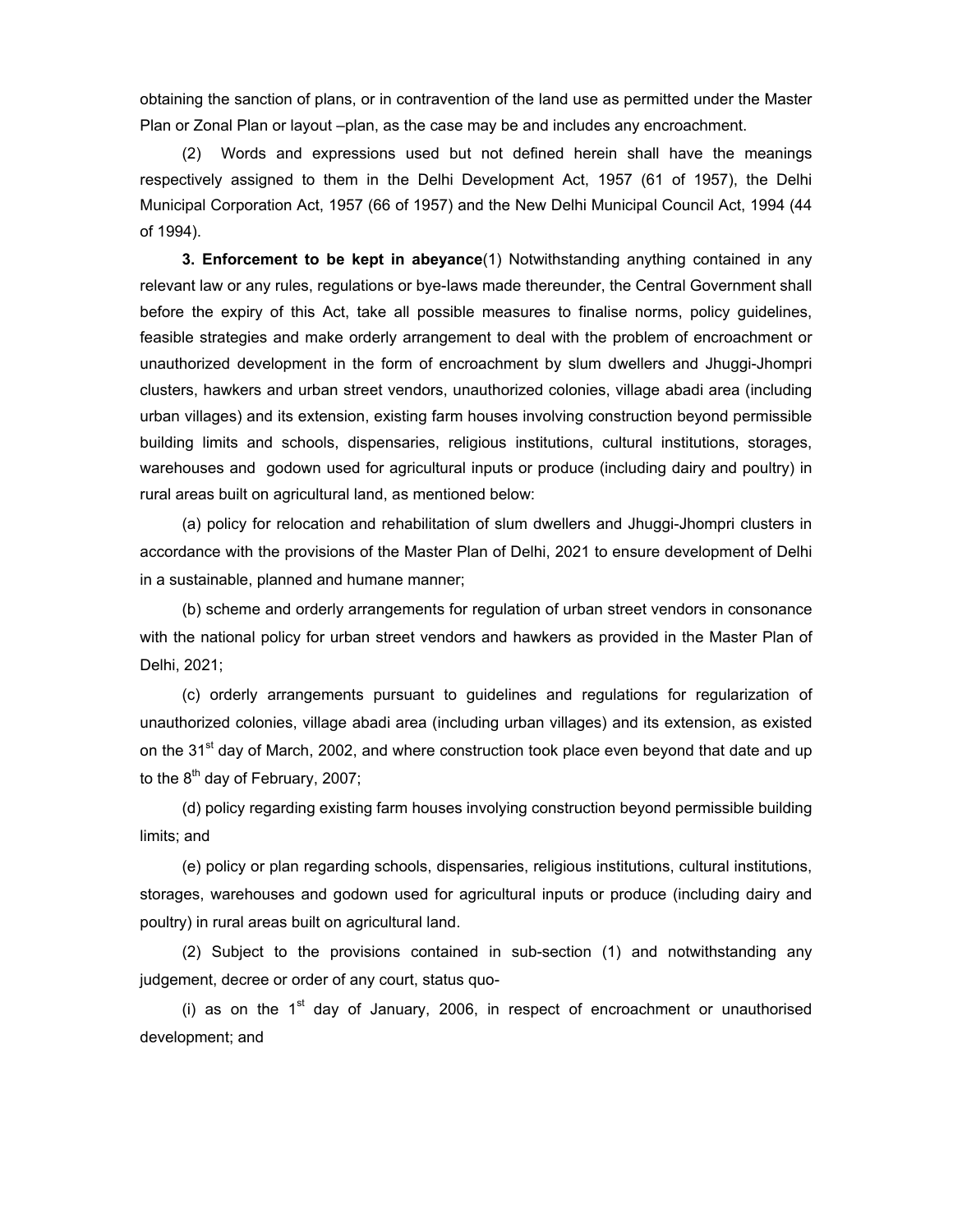obtaining the sanction of plans, or in contravention of the land use as permitted under the Master Plan or Zonal Plan or layout –plan, as the case may be and includes any encroachment.

 (2) Words and expressions used but not defined herein shall have the meanings respectively assigned to them in the Delhi Development Act, 1957 (61 of 1957), the Delhi Municipal Corporation Act, 1957 (66 of 1957) and the New Delhi Municipal Council Act, 1994 (44 of 1994).

**3. Enforcement to be kept in abeyance**(1) Notwithstanding anything contained in any relevant law or any rules, regulations or bye-laws made thereunder, the Central Government shall before the expiry of this Act, take all possible measures to finalise norms, policy guidelines, feasible strategies and make orderly arrangement to deal with the problem of encroachment or unauthorized development in the form of encroachment by slum dwellers and Jhuggi-Jhompri clusters, hawkers and urban street vendors, unauthorized colonies, village abadi area (including urban villages) and its extension, existing farm houses involving construction beyond permissible building limits and schools, dispensaries, religious institutions, cultural institutions, storages, warehouses and godown used for agricultural inputs or produce (including dairy and poultry) in rural areas built on agricultural land, as mentioned below:

 (a) policy for relocation and rehabilitation of slum dwellers and Jhuggi-Jhompri clusters in accordance with the provisions of the Master Plan of Delhi, 2021 to ensure development of Delhi in a sustainable, planned and humane manner;

 (b) scheme and orderly arrangements for regulation of urban street vendors in consonance with the national policy for urban street vendors and hawkers as provided in the Master Plan of Delhi, 2021;

 (c) orderly arrangements pursuant to guidelines and regulations for regularization of unauthorized colonies, village abadi area (including urban villages) and its extension, as existed on the 31<sup>st</sup> day of March, 2002, and where construction took place even beyond that date and up to the  $8<sup>th</sup>$  day of February, 2007;

 (d) policy regarding existing farm houses involying construction beyond permissible building limits; and

 (e) policy or plan regarding schools, dispensaries, religious institutions, cultural institutions, storages, warehouses and godown used for agricultural inputs or produce (including dairy and poultry) in rural areas built on agricultural land.

 (2) Subject to the provisions contained in sub-section (1) and notwithstanding any judgement, decree or order of any court, status quo-

(i) as on the  $1<sup>st</sup>$  day of January, 2006, in respect of encroachment or unauthorised development; and